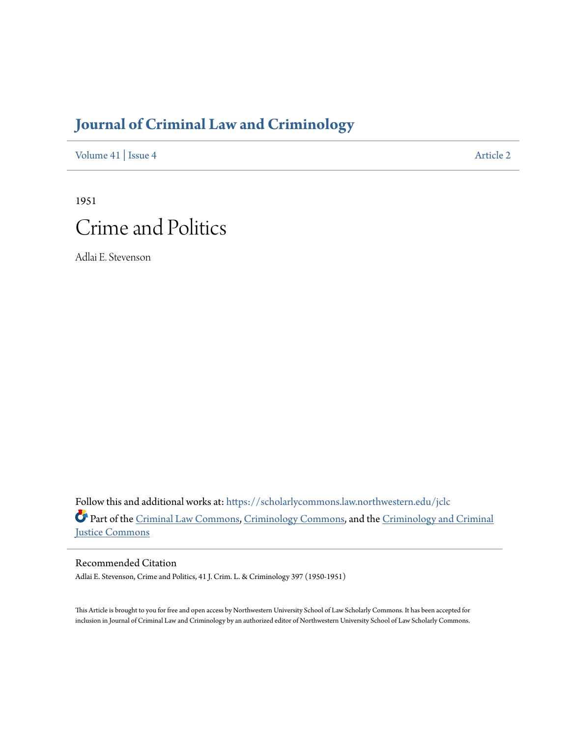# **[Journal of Criminal Law and Criminology](https://scholarlycommons.law.northwestern.edu/jclc?utm_source=scholarlycommons.law.northwestern.edu%2Fjclc%2Fvol41%2Fiss4%2F2&utm_medium=PDF&utm_campaign=PDFCoverPages)**

[Volume 41](https://scholarlycommons.law.northwestern.edu/jclc/vol41?utm_source=scholarlycommons.law.northwestern.edu%2Fjclc%2Fvol41%2Fiss4%2F2&utm_medium=PDF&utm_campaign=PDFCoverPages) | [Issue 4](https://scholarlycommons.law.northwestern.edu/jclc/vol41/iss4?utm_source=scholarlycommons.law.northwestern.edu%2Fjclc%2Fvol41%2Fiss4%2F2&utm_medium=PDF&utm_campaign=PDFCoverPages) [Article 2](https://scholarlycommons.law.northwestern.edu/jclc/vol41/iss4/2?utm_source=scholarlycommons.law.northwestern.edu%2Fjclc%2Fvol41%2Fiss4%2F2&utm_medium=PDF&utm_campaign=PDFCoverPages)

# 1951 Crime and Politics

Adlai E. Stevenson

Follow this and additional works at: [https://scholarlycommons.law.northwestern.edu/jclc](https://scholarlycommons.law.northwestern.edu/jclc?utm_source=scholarlycommons.law.northwestern.edu%2Fjclc%2Fvol41%2Fiss4%2F2&utm_medium=PDF&utm_campaign=PDFCoverPages) Part of the [Criminal Law Commons](http://network.bepress.com/hgg/discipline/912?utm_source=scholarlycommons.law.northwestern.edu%2Fjclc%2Fvol41%2Fiss4%2F2&utm_medium=PDF&utm_campaign=PDFCoverPages), [Criminology Commons](http://network.bepress.com/hgg/discipline/417?utm_source=scholarlycommons.law.northwestern.edu%2Fjclc%2Fvol41%2Fiss4%2F2&utm_medium=PDF&utm_campaign=PDFCoverPages), and the [Criminology and Criminal](http://network.bepress.com/hgg/discipline/367?utm_source=scholarlycommons.law.northwestern.edu%2Fjclc%2Fvol41%2Fiss4%2F2&utm_medium=PDF&utm_campaign=PDFCoverPages) [Justice Commons](http://network.bepress.com/hgg/discipline/367?utm_source=scholarlycommons.law.northwestern.edu%2Fjclc%2Fvol41%2Fiss4%2F2&utm_medium=PDF&utm_campaign=PDFCoverPages)

# Recommended Citation

Adlai E. Stevenson, Crime and Politics, 41 J. Crim. L. & Criminology 397 (1950-1951)

This Article is brought to you for free and open access by Northwestern University School of Law Scholarly Commons. It has been accepted for inclusion in Journal of Criminal Law and Criminology by an authorized editor of Northwestern University School of Law Scholarly Commons.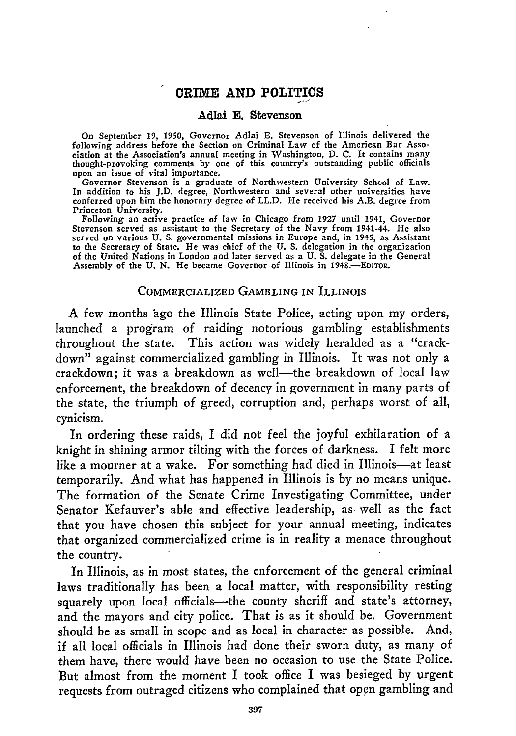### **CRIME AND POLITICS**

#### **AdIai E.** Stevenson

On September **19, 1950,** Governor Adlai **E.** Stevenson of Illinois delivered the following address before the Section on Criminal Law of the American Bar Association at the Association's annual meeting in Washington, **D. C.** It contains many thought-provoking comments **by** one of this country's outstanding public officials upon an issue of vital importance.

Governor Stevenson is a graduate of Northwestern University School of Law. In addition to his **J.D.** degree, Northwestern and several other universities have conferred upon him the honorary degree of LL.D. He received his A.B. degree from Princeton University.

Following an active practice of law in Chicago from 1927 until 1941, Governor Stevenson served as assistant to the Secretary of the Navy from 1941-44. He also served on various **U.** S. governmental missions in Europe and, in 1945, as Assistant to the Secretary of State. He was chief of the **U.** S. delegation in the organization of the United Nations in London and later served as a **U. S.** delegate in the General Assembly of the **U. N.** He became Governor of Illinois in 1948.-EDITOR.

#### COMMERCIALIZED GAMBLING **IN** ILLINOIS

A few months ago the Illinois State Police, acting upon my orders, launched a program of raiding notorious gambling establishments throughout the state. This action was widely heralded as a "crackdown" against commercialized gambling in Illinois. It was not only a crackdown; it was a breakdown as well-the breakdown of local law enforcement, the breakdown of decency in government in many parts of the state, the triumph of greed, corruption and, perhaps worst of all, cynicism.

In ordering these raids, I did not feel the joyful exhilaration of a knight in shining armor tilting with the forces of darkness. I felt more like a mourner at a wake. For something had died in Illinois-at least temporarily. And what has happened in Illinois is by no means unique. The formation of the Senate Crime Investigating Committee, under Senator Kefauver's able and effective leadership, as well as the fact that you have chosen this subject for your annual meeting, indicates that organized commercialized crime is in reality a menace throughout the country.

In Illinois, as in most states, the enforcement of the general criminal laws traditionally has been a local matter, with responsibility resting squarely upon local officials-the county sheriff and state's attorney, and the mayors and city police. That is as it should be. Government should be as small in scope and as local in character as possible. And, if all local officials in Illinois had done their sworn duty, as many of them have, there would have been no occasion to use the State Police. But almost from the moment I took office I was besieged **by** urgent requests from outraged citizens who complained that open gambling and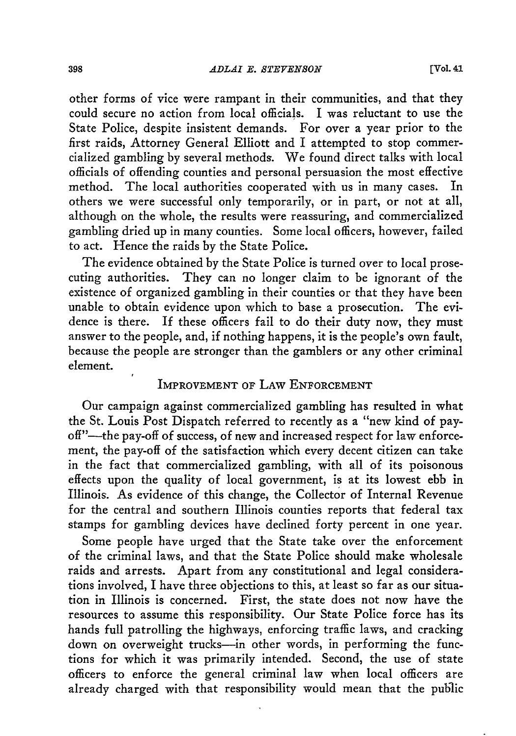other forms of vice were rampant in their communities, and that they could secure no action from local officials. I was reluctant to use the State Police, despite insistent demands. For over a year prior to the first raids, Attorney General Elliott and I attempted to stop commercialized gambling by several methods. We found direct talks with local officials of offending counties and personal persuasion the most effective method. The local authorities cooperated with us in many cases. In others we were successful only temporarily, or in part, or not at all, although on the whole, the results were reassuring, and commercialized gambling dried up in many counties. Some local officers, however, failed to act. Hence the raids by the State Police.

The evidence obtained by the State Police is turned over to local prosecuting authorities. They can no longer claim to be ignorant of the existence of organized gambling in their counties or that they have been unable to obtain evidence upon which to base a prosecution. The evidence is there. If these officers fail to do their duty now, they must answer to the people, and, if nothing happens, it is the people's own fault, because the people are stronger than the gamblers or any other criminal element.

# IMPROVEMENT OF LAw ENFORCEMENT

Our campaign against commercialized gambling has resulted in what the St. Louis Post Dispatch referred to recently as a "new kind of payoff"—the pay-off of success, of new and increased respect for law enforcement, the pay-off of the satisfaction which every decent citizen can take in the fact that commercialized gambling, with all of its poisonous effects upon the quality of local government, is at its lowest ebb in Illinois. As evidence of this change, the Collector of Internal Revenue for the central and southern Illinois counties reports that federal tax stamps for gambling devices have declined forty percent in one year.

Some people have urged that the State take over the enforcement of the criminal laws, and that the State Police should make wholesale raids and arrests. Apart from any constitutional and legal considerations involved, I have three objections to this, at least so far as our situation in Illinois is concerned. First, the state does not now have the resources to assume this responsibility. Our State Police force has its hands full patrolling the highways, enforcing traffic laws, and cracking down on overweight trucks-in other words, in performing the functions for which it was primarily intended. Second, the use of state officers to enforce the general criminal law when local officers are already charged with that responsibility would mean that the public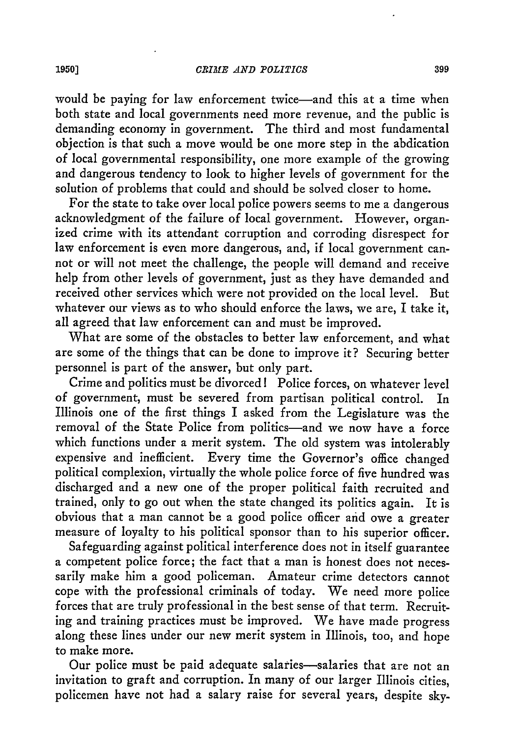would be paying for law enforcement twice-and this at a time when both state and local governments need more revenue, and the public is demanding economy in government. The third and most fundamental objection is that such a move would be one more step in the abdication of local governmental responsibility, one more example of the growing and dangerous tendency to look to higher levels of government for the solution of problems that could and should be solved closer to home.

For the state to take over local police powers seems to me a dangerous acknowledgment of the failure of local government. However, organized crime with its attendant corruption and corroding disrespect for law enforcement is even more dangerous, and, if local government cannot or will not meet the challenge, the people will demand and receive help from other levels of government, just as they have demanded and received other services which were not provided on the local level. But whatever our views as to who should enforce the laws, we are, I take it, all agreed that law enforcement can and must be improved.

What are some of the obstacles to better law enforcement, and what are some of the things that can be done to improve it? Securing better personnel is part of the answer, but only part.

Crime and politics must be divorced **I** Police forces, on whatever level of government, must be severed from partisan political control. In Illinois one of the first things I asked from the Legislature was the removal of the State Police from politics-and we now have a force which functions under a merit system. The old system was intolerably expensive and inefficient. Every time the Governor's office changed political complexion, virtually the whole police force of five hundred was discharged and a new one of the proper political faith recruited and trained, only to go out when the state changed its politics again. It is obvious that a man cannot be a good police officer and owe a greater measure of loyalty to his political sponsor than to his superior officer.

Safeguarding against political interference does not in itself guarantee a competent police force; the fact that a man is honest does not necessarily make him a good policeman. Amateur crime detectors cannot cope with the professional criminals of today. We need more police forces that are truly professional in the best sense of that term. Recruiting and training practices must be improved. We have made progress along these lines under our new merit system in Illinois, too, and hope to make more.

Our police must be paid adequate salaries-salaries that are not an invitation to graft and corruption. In many of our larger Illinois cities, policemen have not had a salary raise for several years, despite sky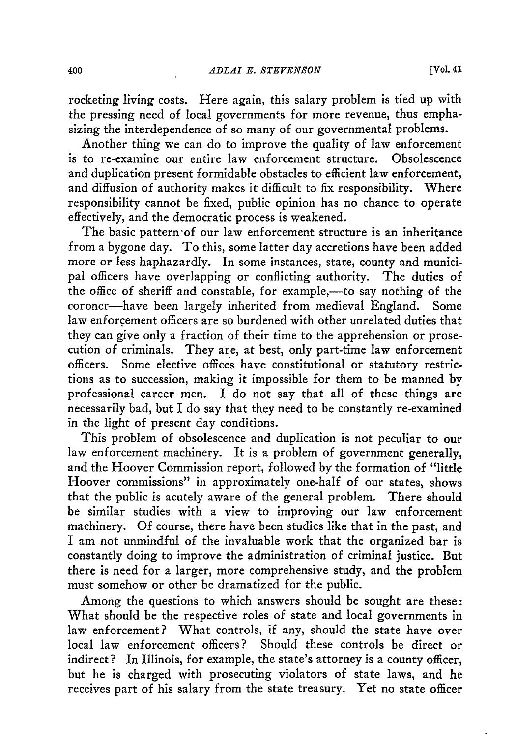rocketing living costs. Here again, this salary problem is tied up with the pressing need of local governments for more revenue, thus emphasizing the interdependence of so many of our governmental problems.

Another thing we can do to improve the quality of law enforcement is to re-examine our entire law enforcement structure. Obsolescence and duplication present formidable obstacles to efficient law enforcement, and diffusion of authority makes it difficult to fix responsibility. Where responsibility cannot be fixed, public opinion has no chance to operate effectively, and the democratic process is weakened.

The basic pattern-of our law enforcement structure is an inheritance from a bygone day. To this, some latter day accretions have been added more or less haphazardly. In some instances, state, county and municipal officers have overlapping or conflicting authority. The duties of the office of sheriff and constable, for example,—to say nothing of the coroner-have been largely inherited from medieval England. Some law enforcement officers are so burdened with other unrelated duties that they can give only a fraction of their time to the apprehension or prosecution of criminals. They are, at best, only part-time law enforcement officers. Some elective offices have constitutional or statutory restrictions as to succession, making it impossible for them to be manned by professional career men. I do not say that all of these things are necessarily bad, but I do say that they need to be constantly re-examined in the light of present day conditions.

This problem of obsolescence and duplication is not peculiar to our law enforcement machinery. It is a problem of government generally, and the Hoover Commission report, followed by the formation of "little Hoover commissions" in approximately one-half of our states, shows that the public is acutely aware of the general problem. There should be similar studies with a view to improving our law enforcement machinery. Of course, there have been studies like that in the past, and I am not unmindful of the invaluable work that the organized bar is constantly doing to improve the administration of criminal justice. But there is need for a larger, more comprehensive study, and the problem must somehow or other be dramatized for the public.

Among the questions to which answers should be sought are these: What should be the respective roles of state and local governments in law enforcement? What controls, if any, should the state have over local law enforcement officers? Should these controls be direct or indirect? In Illinois, for example, the state's attorney is a county officer, but he is charged with prosecuting violators of state laws, and he receives part of his salary from the state treasury. Yet no state officer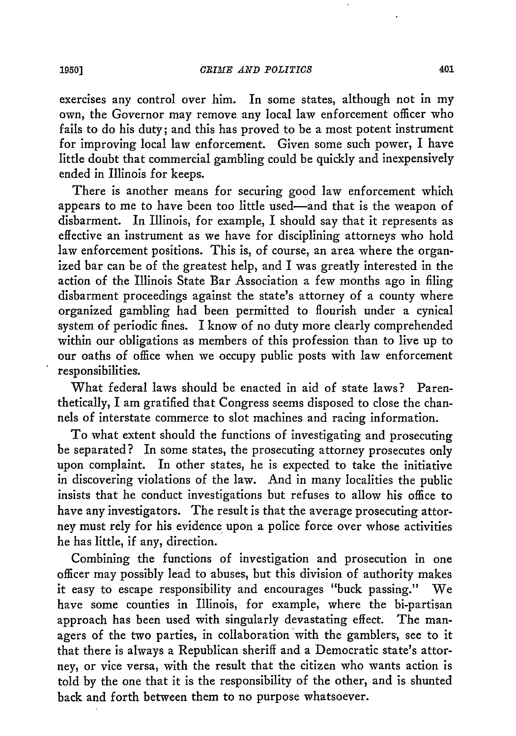exercises any control over him. In some states, although not in my own, the Governor may remove any local law enforcement officer who fails to do his duty; and this has proved to be a most potent instrument for improving local law enforcement. Given some such power, I have little doubt that commercial gambling could be quickly and inexpensively ended in Illinois for keeps.

There is another means for securing good law enforcement which appears to me to have been too little used—and that is the weapon of disbarment. In Illinois, for example, I should say that it represents as effective an instrument as we have for disciplining attorneys who hold law enforcement positions. This is, of course, an area where the organized bar can be of the greatest help, and I was greatly interested in the action of the Illinois State Bar Association a few months ago in filing disbarment proceedings against the state's attorney of a county where organized gambling had been permitted to flourish under a cynical system of periodic fines. I know of no duty more clearly comprehended within our obligations as members of this profession than to live up to our oaths of office when we occupy public posts with law enforcement responsibilities.

What federal laws should be enacted in aid of state laws? Parenthetically, I am gratified that Congress seems disposed to close the channels of interstate commerce to slot machines and racing information.

To what extent should the functions of investigating and prosecuting be separated? In some states, the prosecuting attorney prosecutes only upon complaint. In other states, he is expected to take the initiative in discovering violations of the law. And in many localities the public insists that he conduct investigations but refuses to allow his office to have any investigators. The result is that the average prosecuting attorney must rely for his evidence upon a police force over whose activities he has little, if any, direction.

Combining the functions of investigation and prosecution in one officer may possibly lead to abuses, but this division of authority makes it easy to escape responsibility and encourages "buck passing." We have some counties in Illinois, for example, where the bi-partisan approach has been used with singularly devastating effect. The managers of the two parties, in collaboration with the gamblers, see to it that there is always a Republican sheriff and a Democratic state's attorney, or vice versa, with the result that the citizen who wants action is told by the one that it is the responsibility of the other, and is shunted back and forth between them to no purpose whatsoever.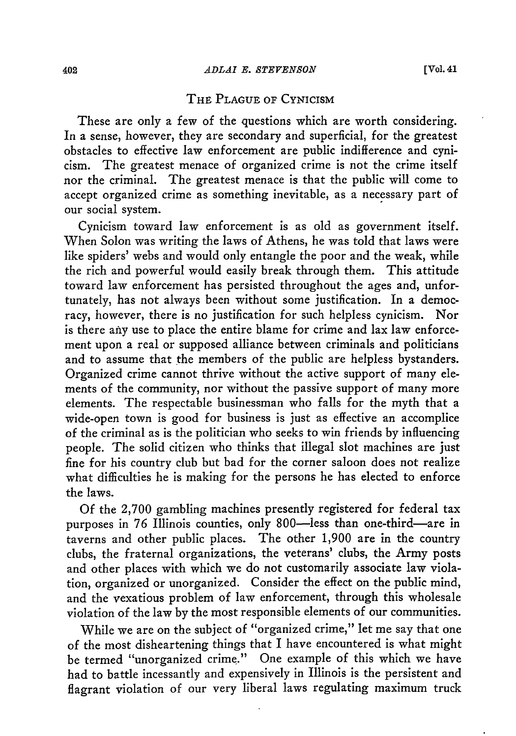#### *ADLAI E. STEVENSON*

## THE **PLAGUE** OF CYNICISM

These are only a few of the questions which are worth considering. In a sense, however, they are secondary and superficial, for the greatest obstacles to effective law enforcement are public indifference and cynicism. The greatest menace of organized crime is not the crime itself nor the criminal. The greatest menace is that the public will come to accept organized crime as something inevitable, as a necessary part of our social system.

Cynicism toward law enforcement is as old as government itself. When Solon was writing the laws of Athens, he was told that laws were like spiders' webs and would only entangle the poor and the weak, while the rich and powerful would easily break through them. This attitude toward law enforcement has persisted throughout the ages and, unfortunately, has not always been without some justification. In a democracy, however, there is no justification for such helpless cynicism. Nor is there any use to place the entire blame for crime and lax law enforcement upon a real or supposed alliance between criminals and politicians and to assume that the members of the public are helpless bystanders. Organized crime cannot thrive without the active support of many elements of the community, nor without the passive support of many more elements. The respectable businessman who falls for the myth that a wide-open town is good for business is just as effective an accomplice of the criminal as is the politician who seeks to win friends by influencing people. The solid citizen who thinks that illegal slot machines are just fine for his country club but bad for the corner saloon does not realize what difficulties he is making for the persons he has elected to enforce the laws.

Of the 2,700 gambling machines presently registered for federal tax purposes in 76 Illinois counties, only 800—less than one-third—are in taverns and other public places. The other 1,900 are in the country clubs, the fraternal organizations, the veterans' clubs, the Army posts and other places with which we do not customarily associate law violation, organized or unorganized. Consider the effect on the public mind, and the vexatious problem of law enforcement, through this wholesale violation of the law by the most responsible elements of our communities.

While we are on the subject of "organized crime," let me say that one of the most disheartening things that I have encountered is what might be termed "unorganized crime." One example of this which we have had to battle incessantly and expensively in Illinois is the persistent and flagrant violation of our very liberal laws regulating maximum truck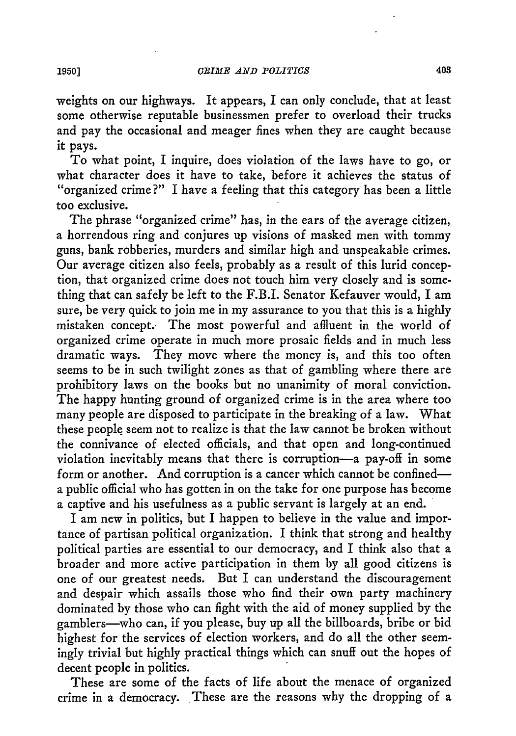weights on our highways. It appears, I can only conclude, that at least some otherwise reputable businessmen prefer to overload their trucks and pay the occasional and meager fines when they are caught because it pays.

To what point, I inquire, does violation of the laws have to go, or what character does it have to take, before it achieves the status of "organized crime ?" I have a feeling that this category has been a little too exclusive.

The phrase "organized crime" has, in the ears of the average citizen, a horrendous ring and conjures up visions of masked men with tommy guns, bank robberies, murders and similar high and unspeakable crimes. Our average citizen also feels, probably as a result of this lurid conception, that organized crime does not touch him very closely and is something that can safely be left to the F.B.I. Senator Kefauver would, I am sure, be very quick to join me in my assurance to you that this is a highly mistaken concept.- The most powerful and affluent in the world of organized crime operate in much more prosaic fields and in much less dramatic ways. They move where the money is, and this too often seems to be in such twilight zones as that of gambling where there are prohibitory laws on the books but no unanimity of moral conviction. The happy hunting ground of organized crime is in the area where too many people are disposed to participate in the breaking of a law. What these people seem not to realize is that the law cannot be broken without the connivance of elected officials, and that open and long-continued violation inevitably means that there is corruption—a pay-off in some form or another. And corruption is a cancer which cannot be confineda public official who has gotten in on the take for one purpose has become a captive and his usefulness as a public servant is largely at an end.

I am new in politics, but I happen to believe in the value and importance of partisan political organization. I think that strong and healthy political parties are essential to our democracy, and I think also that a broader and more active participation in them **by** all good citizens is one of our greatest needs. But I can understand the discouragement and despair which assails those who find their own party machinery dominated **by** those who can fight with the aid of money supplied **by** the gamblers-who can, if you please, buy up all the billboards, bribe or bid highest for the services of election workers, and do all the other seemingly trivial but **highly** practical things which can snuff out the hopes of decent people in politics.

These are some of the facts of life about the menace of organized crime in a democracy. These are the reasons why the dropping of a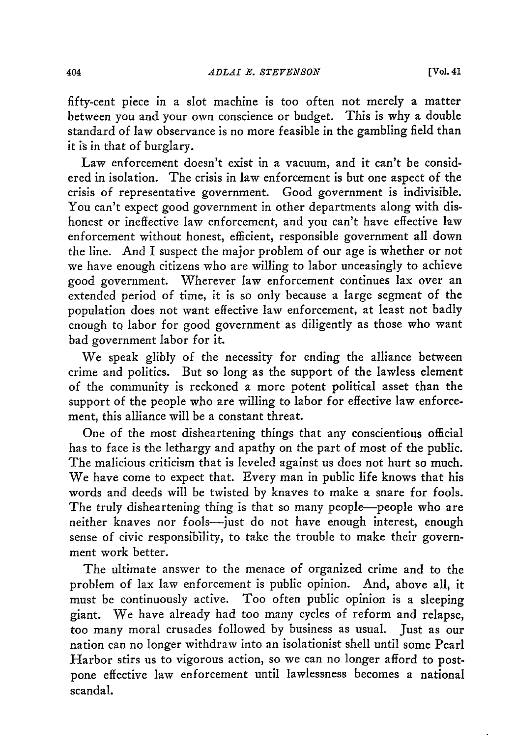fifty-cent piece in a slot machine is too often not merely a matter between you and your own conscience or budget. This is why a double standard of law observance is no more feasible in the gambling field than it is in that of burglary.

Law enforcement doesn't exist in a vacuum, and it can't be considered in isolation. The crisis in law enforcement is but one aspect of the crisis of representative government. Good government is indivisible. You can't expect good government in other departments along with dishonest or ineffective law enforcement, and you can't have effective law enforcement without honest, efficient, responsible government all down the line. And I suspect the major problem of our age is whether or not we have enough citizens who are willing to labor unceasingly to achieve good government. Wherever law enforcement continues lax over an extended period of time, it is so only because a large segment of the population does not want effective law enforcement, at least not badly enough to labor for good government as diligently as those who want bad government labor for it.

We speak glibly of the necessity for ending the alliance between crime and politics. But so long as the support of the lawless element of the community is reckoned a more potent political asset than the support of the people who are willing to labor for effective law enforcement, this alliance will be a constant threat.

One of the most disheartening things that any conscientious official has to face is the lethargy and apathy on the part of most of the public. The malicious criticism that is leveled against us does not hurt so much. We have come to expect that. Every man in public life knows that his words and deeds will be twisted by knaves to make a snare for fools. The truly disheartening thing is that so many people-people who are neither knaves nor fools--just do not have enough interest, enough sense of civic responsibility, to take the trouble to make their government work better.

The ultimate answer to the menace of organized crime and to the problem of lax law enforcement is public opinion. And, above all, it must be continuously active. Too often public opinion is a sleeping giant. We have already had too many cycles of reform and relapse, too many moral crusades followed by business as usual. Just as our nation can no longer withdraw into an isolationist shell until some Pearl Harbor stirs us to vigorous action, so we can no longer afford to postpone effective law enforcement until lawlessness becomes a national scandal.